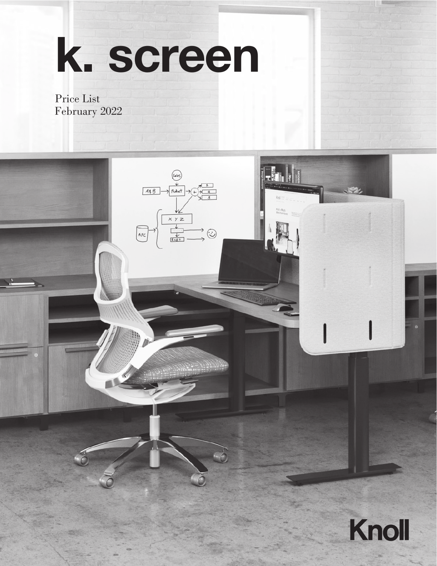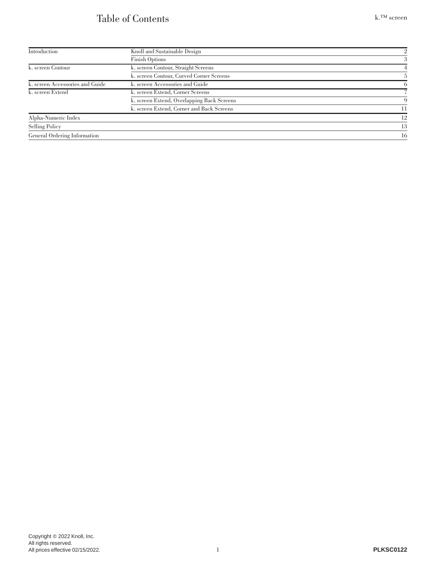### Table of Contents

| Introduction                    | Knoll and Sustainable Design               |          |
|---------------------------------|--------------------------------------------|----------|
|                                 | <b>Finish Options</b>                      | 3        |
| k. screen Contour               | k. screen Contour, Straight Screens        |          |
|                                 | k. screen Contour, Curved Corner Screens   |          |
| k. screen Accessories and Guide | k. screen Accessories and Guide            | $\Omega$ |
| k. screen Extend                | k. screen Extend, Corner Screens           |          |
|                                 | k. screen Extend, Overlapping Back Screens | 9        |
|                                 | k. screen Extend, Corner and Back Screens  | 11       |
| Alpha-Numeric Index             |                                            | 12       |
| Selling Policy                  |                                            | 13       |
| General Ordering Information    |                                            | 16       |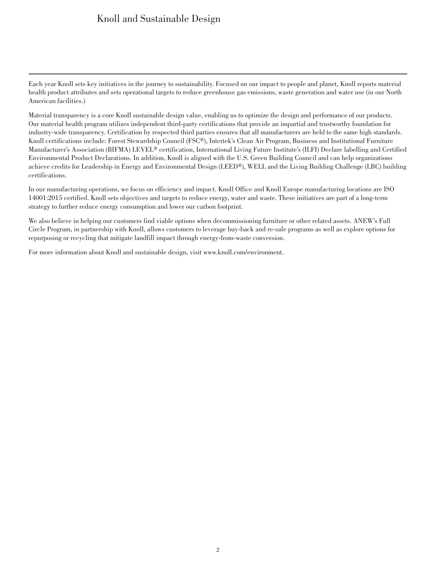### Knoll and Sustainable Design

<span id="page-2-0"></span>Each year Knoll sets key initiatives in the journey to sustainability. Focused on our impact to people and planet, Knoll reports material health product attributes and sets operational targets to reduce greenhouse gas emissions, waste generation and water use (in our North American facilities.)

Material transparency is a core Knoll sustainable design value, enabling us to optimize the design and performance of our products. Our material health program utilizes independent third-party certifications that provide an impartial and trustworthy foundation for industry-wide transparency. Certification by respected third parties ensures that all manufacturers are held to the same high standards. Knoll certifications include: Forest Stewardship Council (FSC®), Intertek's Clean Air Program, Business and Institutional Furniture Manufacturer's Association (BIFMA) LEVEL<sup>®</sup> certification, International Living Future Institute's (ILFI) Declare labelling and Certified Environmental Product Declarations. In addition, Knoll is aligned with the U.S. Green Building Council and can help organizations achieve credits for Leadership in Energy and Environmental Design (LEED®), WELL and the Living Building Challenge (LBC) building certifications.

In our manufacturing operations, we focus on efficiency and impact. Knoll Office and Knoll Europe manufacturing locations are ISO 14001:2015 certified. Knoll sets objectives and targets to reduce energy, water and waste. These initiatives are part of a long-term strategy to further reduce energy consumption and lower our carbon footprint.

We also believe in helping our customers find viable options when decommissioning furniture or other related assets. ANEW's Full Circle Program, in partnership with Knoll, allows customers to leverage buy-back and re-sale programs as well as explore options for repurposing or recycling that mitigate landfill impact through energy-from-waste conversion.

For more information about Knoll and sustainable design, visit www.knoll.com/environment.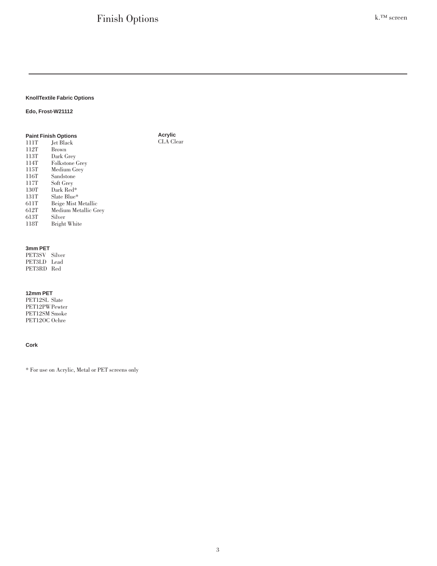**Acrylic** CLA Clear

#### <span id="page-3-0"></span>**KnollTextile Fabric Options**

#### **Edo, Frost-W21112**

#### **Paint Finish Options** 111T Jet Black<br>112T Brown 112T Brown<br>113T Dark G 113T Dark Grey 114T Folkstone Grey<br>115T Medium Grey 115T Medium Grey 116T Sandstone<br>117T Soft Grey 117T Soft Grey 130T Dark Red\* 131T Slate Blue\*<br>611T Beige Mist 1 611T Beige Mist Metallic 612T Medium Metallic Grey 613T Silver Bright White

#### **3mm PET**

PET3SV Silver PET3LD Lead PET3RD Red

#### **12mm PET**

PET12SL Slate PET12PWPewter PET12SM Smoke PET12OC Ochre

#### **Cork**

\* For use on Acrylic, Metal or PET screens only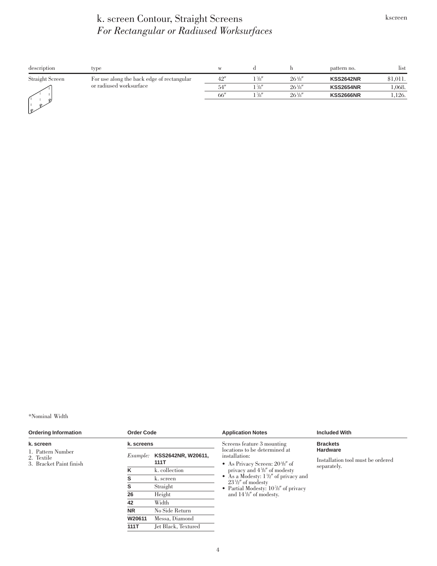### k. screen Contour, Straight Screens *For Rectangular or Radiused Worksurfaces*

<span id="page-4-0"></span>

| description             | type                                       | W              |                    |                  | pattern no.      | list     |
|-------------------------|--------------------------------------------|----------------|--------------------|------------------|------------------|----------|
| Straight Screen         | For use along the back edge of rectangular | 42''           | $1\,\frac{7}{8}$ " | $26\frac{1}{8}$  | <b>KSS2642NR</b> | \$1,011. |
| or radiused worksurface | 54''                                       | $1\frac{7}{8}$ | $26\frac{1}{8}$    | <b>KSS2654NR</b> | 1,068.           |          |
|                         |                                            | 66"            | $1\frac{7}{8}$     | $26\frac{1}{8}$  | <b>KSS2666NR</b> | 1,126.   |
| ℴ<br>o.<br>ピ            |                                            |                |                    |                  |                  |          |

\*Nominal Width

| <b>Ordering Information</b>                                             | <b>Order Code</b> |                                                                               | <b>Application Notes</b>                                                    | <b>Included With</b>               |  |  |
|-------------------------------------------------------------------------|-------------------|-------------------------------------------------------------------------------|-----------------------------------------------------------------------------|------------------------------------|--|--|
| k. screen<br>1. Pattern Number<br>2. Textile<br>3. Bracket Paint finish | k. screens        |                                                                               | Screens feature 3 mounting<br>locations to be determined at                 | <b>Brackets</b><br><b>Hardware</b> |  |  |
|                                                                         | <i>Example:</i>   | KSS2642NR, W20611,<br>installation:<br>111T<br>• As Privacy Screen: $20\%$ of | Installation tool must be ordered                                           |                                    |  |  |
|                                                                         | κ                 | k. collection                                                                 | privacy and $4\frac{5}{8}$ of modesty                                       | separately.                        |  |  |
|                                                                         | s                 | k. screen                                                                     | • As a Modesty: $1\frac{1}{2}$ of privacy and<br>$23\frac{1}{2}$ of modesty |                                    |  |  |
|                                                                         | s                 | Straight                                                                      | • Partial Modesty: $10\frac{7}{8}$ of privacy                               |                                    |  |  |
|                                                                         | 26                | Height                                                                        | and $14\frac{1}{8}$ of modesty.                                             |                                    |  |  |
|                                                                         | 42                | Width                                                                         |                                                                             |                                    |  |  |
|                                                                         | <b>NR</b>         | No Side Return                                                                |                                                                             |                                    |  |  |
|                                                                         | W20611            | Messa, Diamond                                                                |                                                                             |                                    |  |  |
|                                                                         | 111T              | Jet Black, Textured                                                           |                                                                             |                                    |  |  |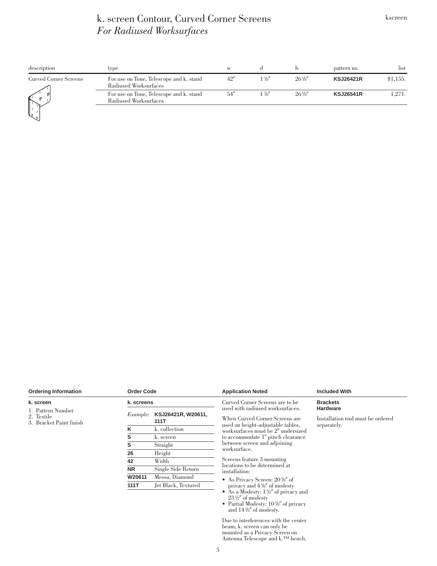### k. screen Contour, Curved Corner Screens *For Radiused Worksurfaces*

<span id="page-5-0"></span>

| description                  | type                                                             | W    |                |                 | pattern no.      | list     |
|------------------------------|------------------------------------------------------------------|------|----------------|-----------------|------------------|----------|
| <b>Curved Corner Screens</b> | For use on Tone, Telescope and k. stand<br>Radiused Worksurfaces | 42'' | $1\frac{7}{8}$ | $26\frac{1}{8}$ | <b>KSJ26421R</b> | \$1,155. |
| $\mathbb{I}$                 | For use on Tone, Telescope and k. stand<br>Radiused Worksurfaces | 54'' | $1\frac{7}{8}$ | $26\frac{1}{8}$ | <b>KSJ26541R</b> | 1,271.   |
|                              |                                                                  |      |                |                 |                  |          |

| <b>Ordering Information</b>                                | <b>Order Code</b> |                            | <b>Application Noted</b>                                                                                                                                                                                 | <b>Included With</b>                                                |  |  |
|------------------------------------------------------------|-------------------|----------------------------|----------------------------------------------------------------------------------------------------------------------------------------------------------------------------------------------------------|---------------------------------------------------------------------|--|--|
| k. screen                                                  | k. screens        |                            | Curved Corner Screens are to be                                                                                                                                                                          | <b>Brackets</b>                                                     |  |  |
| 1. Pattern Number<br>2. Textile<br>3. Bracket Paint finish | <i>Example:</i>   | KSJ26421R, W20611,<br>111T | used with radiused worksurfaces.<br>When Curved Corner Screens are<br>used on height-adjustable tables,                                                                                                  | <b>Hardware</b><br>Installation tool must be ordered<br>separately. |  |  |
|                                                            | ĸ                 | k. collection              | worksurfaces must be 2" undersized                                                                                                                                                                       |                                                                     |  |  |
|                                                            | s                 | k. screen                  | to accommodate 1" pinch clearance                                                                                                                                                                        |                                                                     |  |  |
|                                                            | s                 | Straight                   | between screen and adjoining<br>worksurface.                                                                                                                                                             |                                                                     |  |  |
|                                                            | 26                | Height                     |                                                                                                                                                                                                          |                                                                     |  |  |
|                                                            | 42                | Width                      | Screens feature 3 mounting                                                                                                                                                                               |                                                                     |  |  |
|                                                            | <b>NR</b>         | Single Side Return         | locations to be determined at<br>installation:                                                                                                                                                           |                                                                     |  |  |
|                                                            | W20611            | Messa, Diamond             | • As Privacy Screen: $20\frac{3}{8}$ of                                                                                                                                                                  |                                                                     |  |  |
|                                                            | 111T              | Jet Black, Textured        | privacy and $4\frac{5}{8}$ of modesty<br>• As a Modesty: $1\frac{1}{2}$ of privacy and<br>$23\frac{1}{2}$ of modesty<br>• Partial Modesty: $10\frac{7}{8}$ of privacy<br>and $14\frac{1}{8}$ of modesty. |                                                                     |  |  |
|                                                            |                   |                            | Due to interferences with the center<br>beam, k. screen can only be<br>mounted as a Privacy Screen on                                                                                                    |                                                                     |  |  |

Antenna Telescope and k.™ bench.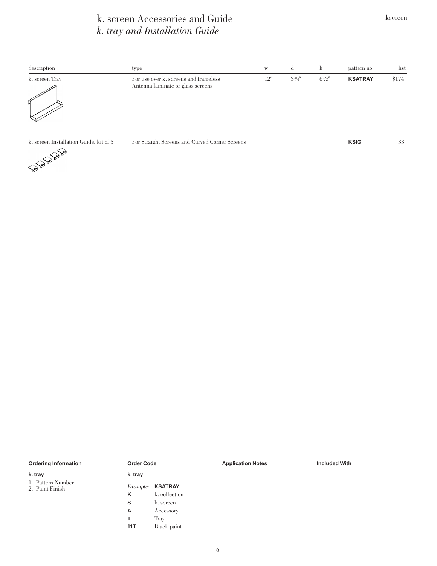### k. screen Accessories and Guide *k. tray and Installation Guide*

<span id="page-6-0"></span>

| description                                                              | type                                                                       | $\ensuremath{\text{W}}$ | d              | h         | pattern no.    | list   |
|--------------------------------------------------------------------------|----------------------------------------------------------------------------|-------------------------|----------------|-----------|----------------|--------|
| k. screen Tray                                                           | For use over k, screens and frameless<br>Antenna laminate or glass screens | 12''                    | $3\frac{3}{4}$ | $6^{1/2}$ | <b>KSATRAY</b> | \$174. |
|                                                                          |                                                                            |                         |                |           |                |        |
| k. screen Installation Guide, kit of 5<br><b>Contraction Contraction</b> | For Straight Screens and Curved Corner Screens                             |                         |                |           | <b>KSIG</b>    | 33.    |

| <b>Ordering Information</b>          | <b>Order Code</b> |                         | <b>Application Notes</b> | <b>Included With</b> |
|--------------------------------------|-------------------|-------------------------|--------------------------|----------------------|
| k. tray                              | k. tray           |                         |                          |                      |
| 1. Pattern Number<br>2. Paint Finish |                   | Example: <b>KSATRAY</b> |                          |                      |
|                                      | κ                 | k. collection           |                          |                      |
|                                      |                   | k. screen               |                          |                      |
|                                      | А                 | Accessory               |                          |                      |
|                                      |                   | Tray                    |                          |                      |
|                                      | 11T               | Black paint             |                          |                      |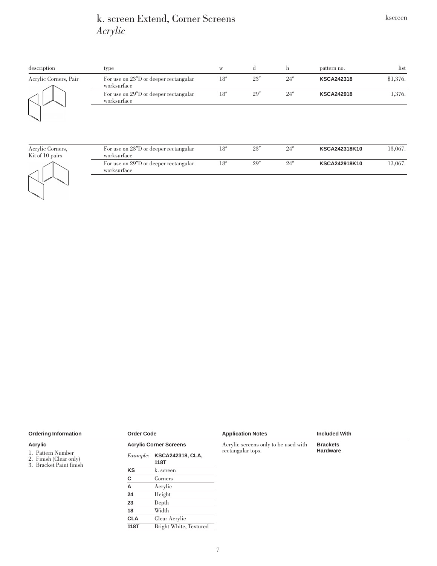### k. screen Extend, Corner Screens *Acrylic*

<span id="page-7-0"></span>

| description                                         | type                                  | W    | đ    | h    | pattern no.       | list     |
|-----------------------------------------------------|---------------------------------------|------|------|------|-------------------|----------|
| Acrylic Corners, Pair<br>worksurface<br>worksurface | For use on 23"D or deeper rectangular | 18'' | 23'' | 24'' | <b>KSCA242318</b> | \$1,376. |
|                                                     | For use on 29"D or deeper rectangular | 18'' | 29'' | 24'' | <b>KSCA242918</b> | 1,376.   |
|                                                     |                                       |      |      |      |                   |          |

Acrylic Corners, Kit of 10 pairs



| <i>worksurface</i> | For use on 23"D or deeper rectangular | 18'' | 23'' | 24″ | <b>KSCA242318K10</b> | 13.067. |
|--------------------|---------------------------------------|------|------|-----|----------------------|---------|
| worksurface        | For use on 29"D or deeper rectangular | 18'' | 29″  | 24″ | <b>KSCA242918K10</b> | 13,067. |

| <b>Ordering Information</b>                                            | <b>Order Code</b> |                                 | <b>Application Notes</b>             | <b>Included With</b> |  |  |
|------------------------------------------------------------------------|-------------------|---------------------------------|--------------------------------------|----------------------|--|--|
| Acrylic                                                                |                   | <b>Acrylic Corner Screens</b>   | Acrylic screens only to be used with | <b>Brackets</b>      |  |  |
| 1. Pattern Number<br>2. Finish (Clear only)<br>3. Bracket Paint finish | <i>Example:</i>   | <b>KSCA242318, CLA,</b><br>118T | rectangular tops.                    | <b>Hardware</b>      |  |  |
|                                                                        | KS                | k. screen                       |                                      |                      |  |  |
|                                                                        | C                 | <b>Corners</b>                  |                                      |                      |  |  |
|                                                                        | А                 | Acrylic                         |                                      |                      |  |  |
|                                                                        | 24                | Height                          |                                      |                      |  |  |
|                                                                        | 23                | Depth                           |                                      |                      |  |  |
|                                                                        | 18                | Width                           |                                      |                      |  |  |
|                                                                        | <b>CLA</b>        | Clear Acrylic                   |                                      |                      |  |  |
|                                                                        | 118T              | Bright White, Textured          |                                      |                      |  |  |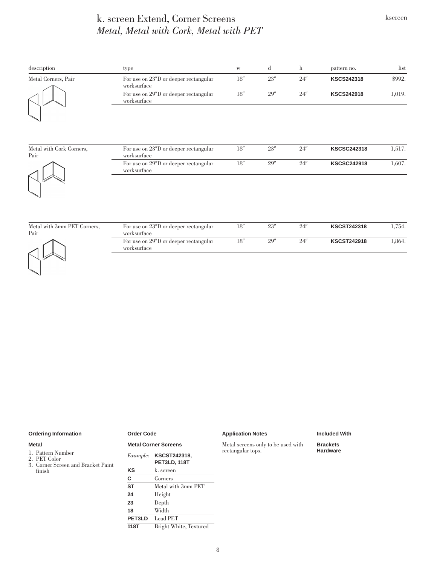### k. screen Extend, Corner Screens *Metal, Metal with Cork, Metal with PET*

| description                      | type                                                 | $\ensuremath{\text{W}}$ | d    | $\mathbf{h}$ | pattern no.        | list   |
|----------------------------------|------------------------------------------------------|-------------------------|------|--------------|--------------------|--------|
| Metal Corners, Pair              | For use on 23"D or deeper rectangular<br>worksurface | 18''                    | 23'' | 24''         | <b>KSCS242318</b>  | \$992. |
|                                  | For use on 29"D or deeper rectangular<br>worksurface | 18''                    | 29'' | 24''         | <b>KSCS242918</b>  | 1,019. |
| Metal with Cork Corners,<br>Pair | For use on 23"D or deeper rectangular<br>worksurface | 18''                    | 23'' | 24''         | <b>KSCSC242318</b> | 1,517. |
|                                  | For use on 29"D or deeper rectangular<br>worksurface | $18^{\prime\prime}$     | 29'' | 24''         | <b>KSCSC242918</b> | 1,607. |
| Metal with 3mm PET Corners,      | For use on 23"D or deeper rectangular                | 18''                    | 23'' | 24''         | <b>KSCST242318</b> | 1,754. |



| For use on 23"D or deeper rectangular<br>worksurface | 18'' | 23'' | 24'' | <b>KSCST242318</b> | 1.754. |
|------------------------------------------------------|------|------|------|--------------------|--------|
| For use on 29"D or deeper rectangular<br>worksurface | 18'' | 20'' | 24'' | <b>KSCST242918</b> | 1.864. |

| <b>Ordering Information</b>                                                       | <b>Order Code</b><br><b>Metal Corner Screens</b> |                                            | <b>Application Notes</b>           | <b>Included With</b> |  |  |
|-----------------------------------------------------------------------------------|--------------------------------------------------|--------------------------------------------|------------------------------------|----------------------|--|--|
| <b>Metal</b>                                                                      |                                                  |                                            | Metal screens only to be used with | <b>Brackets</b>      |  |  |
| 1. Pattern Number<br>2. PET Color<br>3. Corner Screen and Bracket Paint<br>finish | <i>Example:</i>                                  | <b>KSCST242318,</b><br><b>PET3LD, 118T</b> | rectangular tops.                  | <b>Hardware</b>      |  |  |
|                                                                                   | KS                                               | k. screen                                  |                                    |                      |  |  |
|                                                                                   | C                                                | Corners                                    |                                    |                      |  |  |
|                                                                                   | <b>ST</b>                                        | Metal with 3mm PET                         |                                    |                      |  |  |
|                                                                                   | 24                                               | Height                                     |                                    |                      |  |  |
|                                                                                   | 23                                               | Depth                                      |                                    |                      |  |  |
|                                                                                   | 18                                               | Width                                      |                                    |                      |  |  |
|                                                                                   | PET3LD                                           | Lead PET                                   |                                    |                      |  |  |
|                                                                                   | 118T                                             | Bright White, Textured                     |                                    |                      |  |  |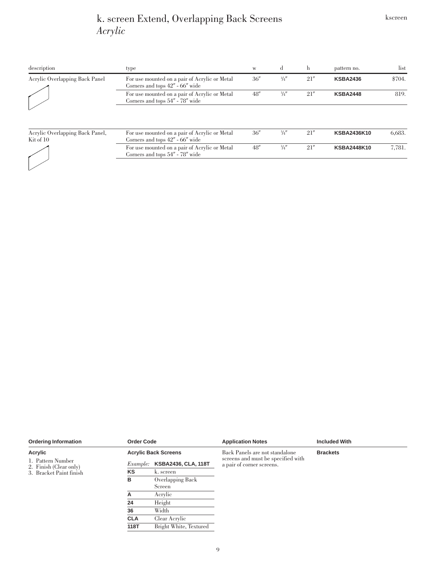### k. screen Extend, Overlapping Back Screens *Acrylic*

<span id="page-9-0"></span>

| description                                  | type                                                                                 | W    | d             | h    | pattern no.        | list   |
|----------------------------------------------|--------------------------------------------------------------------------------------|------|---------------|------|--------------------|--------|
| Acrylic Overlapping Back Panel               | For use mounted on a pair of Acrylic or Metal<br>Corners and tops 42" - 66" wide     | 36'' | $\frac{1}{4}$ | 21'' | <b>KSBA2436</b>    | \$704. |
|                                              | For use mounted on a pair of Acrylic or Metal<br>Corners and tops 54" - 78" wide     | 48'' | $\frac{1}{4}$ | 21'' | <b>KSBA2448</b>    | 819.   |
|                                              |                                                                                      |      |               |      |                    |        |
| Acrylic Overlapping Back Panel,<br>Kit of 10 | For use mounted on a pair of Acrylic or Metal<br>Corners and tops $42'' - 66''$ wide | 36'' | $\frac{1}{4}$ | 21'' | <b>KSBA2436K10</b> | 6,683. |
|                                              | For use mounted on a pair of Acrylic or Metal<br>Corners and tops 54" - 78" wide     | 48'' | $\frac{1}{4}$ | 21'' | <b>KSBA2448K10</b> | 7,781. |
|                                              |                                                                                      |      |               |      |                    |        |

| <b>Ordering Information</b>                                            | <b>Order Code</b> |                              | <b>Application Notes</b>                                        | <b>Included With</b> |
|------------------------------------------------------------------------|-------------------|------------------------------|-----------------------------------------------------------------|----------------------|
| Acrylic                                                                |                   | <b>Acrylic Back Screens</b>  | Back Panels are not standalone                                  | <b>Brackets</b>      |
| 1. Pattern Number<br>2. Finish (Clear only)<br>3. Bracket Paint finish |                   | Example: KSBA2436, CLA, 118T | screens and must be specified with<br>a pair of corner screens. |                      |
|                                                                        | <b>KS</b>         | k. screen                    |                                                                 |                      |
|                                                                        | в                 | Overlapping Back             |                                                                 |                      |
|                                                                        |                   | Screen                       |                                                                 |                      |
|                                                                        | А                 | Acrylic                      |                                                                 |                      |
|                                                                        | 24                | Height                       |                                                                 |                      |
|                                                                        | 36                | Width                        |                                                                 |                      |
|                                                                        | <b>CLA</b>        | Clear Acrylic                |                                                                 |                      |
|                                                                        | 118T              | Bright White, Textured       |                                                                 |                      |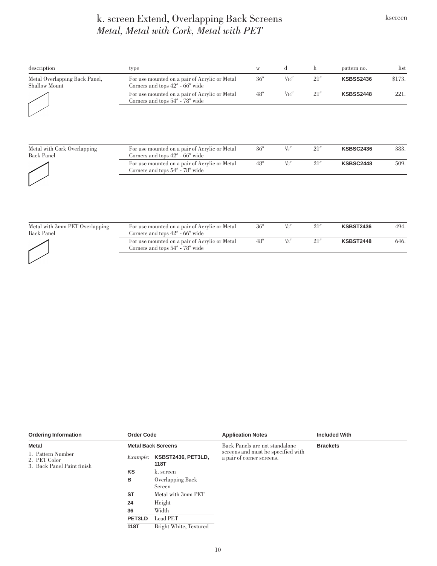### k. screen Extend, Overlapping Back Screens *Metal, Metal with Cork, Metal with PET*

| description                                           | type                                                                                 | W    | d              | h    | pattern no.      | list   |
|-------------------------------------------------------|--------------------------------------------------------------------------------------|------|----------------|------|------------------|--------|
| Metal Overlapping Back Panel,<br><b>Shallow Mount</b> | For use mounted on a pair of Acrylic or Metal<br>Corners and tops 42" - 66" wide     | 36'' | $\frac{1}{16}$ | 21'' | <b>KSBSS2436</b> | \$173. |
|                                                       | For use mounted on a pair of Acrylic or Metal<br>Corners and tops 54" - 78" wide     | 48"  | $\frac{1}{16}$ | 21'' | <b>KSBSS2448</b> | 221.   |
| Metal with Cork Overlapping<br><b>Back Panel</b>      | For use mounted on a pair of Acrylic or Metal<br>Corners and tops $42'' - 66''$ wide | 36'' | $\frac{1}{8}$  | 21'' | <b>KSBSC2436</b> | 383.   |
|                                                       | For use mounted on a pair of Acrylic or Metal<br>Corners and tops 54" - 78" wide     | 48'' | $\frac{1}{8}$  | 21'' | <b>KSBSC2448</b> | 509.   |
|                                                       |                                                                                      |      |                |      |                  |        |

| Metal with 3mm PET Overlapping<br>Back Panel | For use mounted on a pair of Acrylic or Metal<br>Corners and tops 42" - 66" wide     | 36'' | $\frac{1}{8}$ | 21'' | <b>KSBST2436</b> | 494. |
|----------------------------------------------|--------------------------------------------------------------------------------------|------|---------------|------|------------------|------|
|                                              | For use mounted on a pair of Acrylic or Metal<br>Corners and tops $54'' - 78''$ wide | 48'' | $\frac{1}{8}$ | 21'' | <b>KSBST2448</b> | 646. |
|                                              |                                                                                      |      |               |      |                  |      |

| <b>Ordering Information</b>                                     | <b>Order Code</b> |                            | <b>Application Notes</b>                                        | <b>Included With</b> |  |
|-----------------------------------------------------------------|-------------------|----------------------------|-----------------------------------------------------------------|----------------------|--|
| <b>Metal</b>                                                    |                   | <b>Metal Back Screens</b>  | Back Panels are not standalone                                  | <b>Brackets</b>      |  |
| 1. Pattern Number<br>2. PET Color<br>3. Back Panel Paint finish | <i>Example:</i>   | KSBST2436, PET3LD,<br>118T | screens and must be specified with<br>a pair of corner screens. |                      |  |
|                                                                 | KS                | k. screen                  |                                                                 |                      |  |
|                                                                 | в                 | Overlapping Back<br>Screen |                                                                 |                      |  |
|                                                                 | <b>ST</b>         | Metal with 3mm PET         |                                                                 |                      |  |
|                                                                 | 24                | Height                     |                                                                 |                      |  |
|                                                                 | 36                | Width                      |                                                                 |                      |  |
|                                                                 | PET3LD            | Lead PET                   |                                                                 |                      |  |
|                                                                 | 118T              | Bright White, Textured     |                                                                 |                      |  |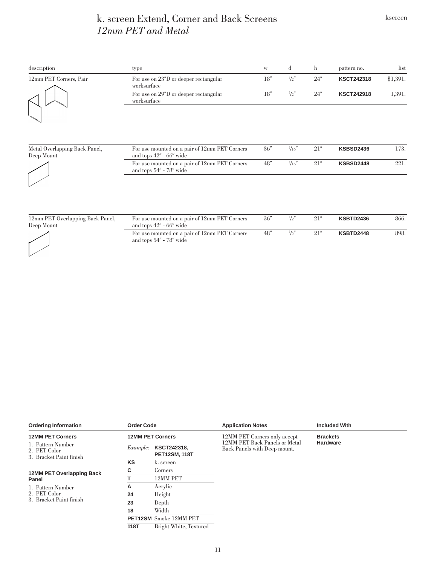### k. screen Extend, Corner and Back Screens *12mm PET and Metal*

<span id="page-11-0"></span>

| description                                 | type                                                                         | $\ensuremath{\text{W}}$ | d              | h    | pattern no.       | list         |
|---------------------------------------------|------------------------------------------------------------------------------|-------------------------|----------------|------|-------------------|--------------|
| 12mm PET Corners, Pair                      | For use on 23"D or deeper rectangular<br>worksurface                         | 18''                    | $\frac{1}{2}$  | 24'' | <b>KSCT242318</b> | \$1,391.     |
|                                             | For use on 29"D or deeper rectangular<br>worksurface                         | $18''$                  | $\frac{1}{2}$  | 24'' | <b>KSCT242918</b> | 1,391.       |
| Metal Overlapping Back Panel,<br>Deep Mount | For use mounted on a pair of 12mm PET Corners<br>and tops $42'' - 66''$ wide | 36''                    | $\frac{1}{16}$ | 21'' | <b>KSBSD2436</b>  | 173.         |
|                                             | For use mounted on a pair of 12mm PET Corners<br>and tops 54" - 78" wide     | $48''$                  | $\frac{1}{16}$ | 21'' | <b>KSBSD2448</b>  | 221.         |
| $DPTA$ $1$ $1$ $D$ $1$ $D$ $1$<br>ിപെ       | <b>TP</b><br>$\sim$ 1<br>DET $\alpha$<br>$\cdot$ $\cdot$ $\cdot$ $\cdot$     | 20                      | 11H            | 01   |                   | $0<\epsilon$ |

| 12mm PET Overlapping Back Panel,<br>Deep Mount | For use mounted on a pair of 12mm PET Corners<br>and tops $42'' - 66''$ wide | 36'' | $\frac{1}{2}$ | 21'' | <b>KSBTD2436</b> | 866. |
|------------------------------------------------|------------------------------------------------------------------------------|------|---------------|------|------------------|------|
|                                                | For use mounted on a pair of 12mm PET Corners<br>and tops $54'' - 78''$ wide | 48'' | $\frac{1}{2}$ | 21'' | KSBTD2448        | 898. |
|                                                |                                                                              |      |               |      |                  |      |

| <b>Ordering Information</b>                                  | <b>Order Code</b> |                                     | <b>Application Notes</b>                                      | <b>Included With</b> |  |  |
|--------------------------------------------------------------|-------------------|-------------------------------------|---------------------------------------------------------------|----------------------|--|--|
| <b>12MM PET Corners</b>                                      |                   | <b>12MM PET Corners</b>             | 12MM PET Corners only accept                                  | <b>Brackets</b>      |  |  |
| 1. Pattern Number<br>2. PET Color<br>3. Bracket Paint finish | <i>Example:</i>   | KSCT242318,<br><b>PET12SM, 118T</b> | 12MM PET Back Panels or Metal<br>Back Panels with Deep mount. | <b>Hardware</b>      |  |  |
|                                                              | <b>KS</b>         | k. screen                           |                                                               |                      |  |  |
| <b>12MM PET Overlapping Back</b><br>Panel                    | C                 | Corners                             |                                                               |                      |  |  |
|                                                              |                   | 12MM PET                            |                                                               |                      |  |  |
| 1. Pattern Number                                            | А                 | Acrylic                             |                                                               |                      |  |  |
| 2. PET Color                                                 | 24                | Height                              |                                                               |                      |  |  |
| 3. Bracket Paint finish                                      | 23                | Depth                               |                                                               |                      |  |  |
|                                                              | 18                | Width                               |                                                               |                      |  |  |
|                                                              |                   | <b>PET12SM</b> Smoke 12MM PET       |                                                               |                      |  |  |
|                                                              | 118T              | Bright White, Textured              |                                                               |                      |  |  |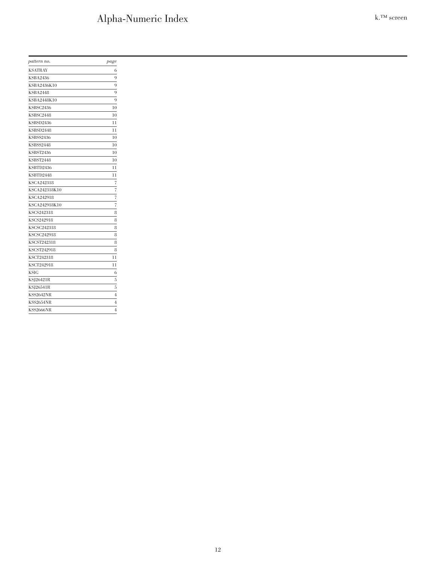# Alpha-Numeric Index k.™ screen

<span id="page-12-0"></span>

| pattern no.        | page                     |
|--------------------|--------------------------|
| <b>KSATRAY</b>     | 6                        |
| <b>KSBA2436</b>    | 9                        |
| KSBA2436K10        | 9                        |
| <b>KSBA2448</b>    | 9                        |
| KSBA2448K10        | 9                        |
| KSBSC2436          | 10                       |
| <b>KSBSC2448</b>   | 10                       |
| KSBSD2436          | 11                       |
| KSBSD2448          | 11                       |
| <b>KSBSS2436</b>   | 10                       |
| <b>KSBSS2448</b>   | 10                       |
| <b>KSBST2436</b>   | 10                       |
| <b>KSBST2448</b>   | 10                       |
| KSBTD2436          | 11                       |
| KSBTD2448          | 11                       |
| <b>KSCA242318</b>  | 7                        |
| KSCA242318K10      | $\overline{7}$           |
| <b>KSCA242918</b>  | $\overline{\mathcal{I}}$ |
| KSCA242918K10      | $\overline{7}$           |
| <b>KSCS242318</b>  | 8                        |
| <b>KSCS242918</b>  | 8                        |
| <b>KSCSC242318</b> | 8                        |
| <b>KSCSC242918</b> | 8                        |
| <b>KSCST242318</b> | 8                        |
| <b>KSCST242918</b> | 8                        |
| KSCT242318         | 11                       |
| <b>KSCT242918</b>  | 11                       |
| <b>KSIG</b>        | 6                        |
| KSJ26421R          | 5                        |
| KSJ26541R          | 5                        |
| <b>KSS2642NR</b>   | $\overline{4}$           |
| <b>KSS2654NR</b>   | $\overline{4}$           |
| <b>KSS2666NR</b>   | $\overline{4}$           |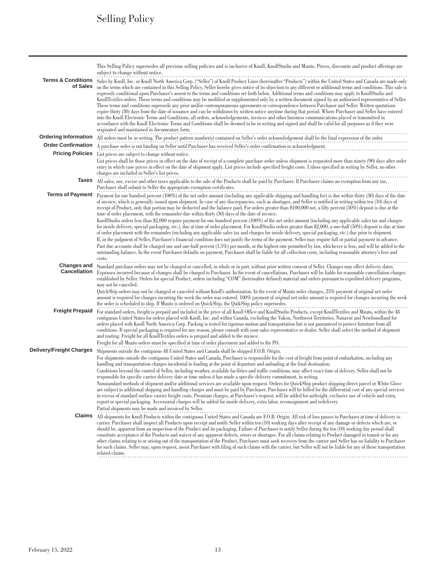# Selling Policy

<span id="page-13-0"></span>

|                                 | This Selling Policy supersedes all previous selling policies and is inclusive of Knoll, KnollStudio and Muuto. Prices, discounts and product offerings are<br>subject to change without notice.                                                                                                                                   |
|---------------------------------|-----------------------------------------------------------------------------------------------------------------------------------------------------------------------------------------------------------------------------------------------------------------------------------------------------------------------------------|
| <b>Terms &amp; Conditions</b>   | Sales by Knoll, Inc. or Knoll North America Corp. ("Seller") of Knoll Product Lines (hereinafter "Products") within the United States and Canada are made only                                                                                                                                                                    |
| of Sales                        | on the terms which are contained in this Selling Policy. Seller hereby gives notice of its objection to any different or additional terms and conditions. This sale is<br>expressly conditional upon Purchaser's assent to the terms and conditions set forth below. Additional terms and conditions may apply to KnollStudio and |
|                                 | KnollTextiles orders. These terms and conditions may be modified or supplemented only by a written document signed by an authorized representative of Seller.                                                                                                                                                                     |
|                                 | These terms and conditions supersede any prior and/or contemporaneous agreements or correspondence between Purchaser and Seller. Written quotations                                                                                                                                                                               |
|                                 | expire thirty (30) days from the date of issuance and can be withdrawn by written notice anytime during that period. Where Purchaser and Seller have entered<br>into the Knoll Electronic Terms and Conditions, all orders, acknowledgements, invoices and other business communications placed or transmitted in                 |
|                                 | accordance with the Knoll Electronic Terms and Conditions shall be deemed to be in writing and signed and shall be valid for all purposes as if they were                                                                                                                                                                         |
|                                 | originated and maintained in documentary form.                                                                                                                                                                                                                                                                                    |
| <b>Ordering Information</b>     | All orders must be in writing. The product pattern number(s) contained on Seller's order acknowledgement shall be the final expression of the order.                                                                                                                                                                              |
| <b>Order Confirmation</b>       | A purchase order is not binding on Seller until Purchaser has received Seller's order confirmation or acknowledgment.                                                                                                                                                                                                             |
| <b>Pricing Policies</b>         | List prices are subject to change without notice.                                                                                                                                                                                                                                                                                 |
|                                 | List prices shall be those prices in effect on the date of receipt of a complete purchase order unless shipment is requested more than ninety (90) days after order                                                                                                                                                               |
|                                 | entry in which case prices in effect on the date of shipment apply. List prices include specified freight costs. Unless specified in writing by Seller, no other<br>charges are included in Seller's list prices.                                                                                                                 |
| Taxes                           |                                                                                                                                                                                                                                                                                                                                   |
|                                 | All sales, use, excise and other taxes applicable to the sale of the Products shall be paid by Purchaser. If Purchaser claims an exemption from any tax, Purchaser shall submit to Seller the appropriate exemption certificat                                                                                                    |
|                                 | Terms of Payment Payment for one hundred percent (100%) of the net order amount (including any applicable shipping and handling fee) is due within thirty (30) days of the date                                                                                                                                                   |
|                                 | of invoice, which is generally issued upon shipment. In case of any discrepancies, such as shortages, and Seller is notified in writing within ten (10) days of<br>receipt of Product, only that portion may be deducted and the balance paid. For orders greater than \$100,000 net, a fifty percent (50%) deposit is due at the |
|                                 | time of order placement, with the remainder due within thirty (30) days of the date of invoice.                                                                                                                                                                                                                                   |
|                                 | KnollStudio orders less than \$2,000 require payment for one hundred percent (100%) of the net order amount (including any applicable sales tax and charges                                                                                                                                                                       |
|                                 | for inside delivery, special packaging, etc.), due at time of order placement. For KnollStudio orders greater than \$2,000, a one-half (50%) deposit is due at time                                                                                                                                                               |
|                                 | of order placement with the remainder (including any applicable sales tax and charges for inside delivery, special packaging, etc.) due prior to shipment.<br>If, in the judgment of Seller, Purchaser's financial condition does not justify the terms of the payment, Seller may require full or partial payment in advance.    |
|                                 | Past due accounts shall be charged one and one-half percent (1.5%) per month, or the highest rate permitted by law, whichever is less, and will be added to the                                                                                                                                                                   |
|                                 | outstanding balance. In the event Purchaser defaults on payment, Purchaser shall be liable for all collection costs, including reasonable attorney's fees and<br>costs.                                                                                                                                                           |
| <b>Changes and</b>              | Standard purchase orders may not be changed or cancelled, in whole or in part, without prior written consent of Seller. Changes may effect delivery dates.                                                                                                                                                                        |
| <b>Cancellation</b>             | Expenses incurred because of changes shall be charged to Purchaser. In the event of cancellations, Purchaser will be liable for reasonable cancellation charges                                                                                                                                                                   |
|                                 | established by Seller. Orders for special Product, orders including "COM" (hereinafter defined) material and orders pursuant to expedited delivery programs,<br>may not be canceled.                                                                                                                                              |
|                                 | QuickShip orders may not be changed or canceled without Knoll's authorization. In the event of Muuto order changes, 25% payment of original net order                                                                                                                                                                             |
|                                 | amount is required for changes incurring the week the order was entered. 100% payment of original net order amount is required for changes incurring the week                                                                                                                                                                     |
|                                 | the order is scheduled to ship. If Muuto is ordered on QuickShip, the QuikShip policy supersedes.                                                                                                                                                                                                                                 |
| <b>Freight Prepaid</b>          | For standard orders, freight is prepaid and included in the price of all Knoll Office and KnollStudio Products, except KnollTextiles and Muuto, within the 48<br>contiguous United States for orders placed with Knoll, Inc. and within Canada, excluding the Yukon, Northwest Territories, Nunavut and Newfoundland for          |
|                                 | orders placed with Knoll North America Corp. Packing is tested for rigorous motion and transportation but is not guaranteed to protect furniture from all                                                                                                                                                                         |
|                                 | conditions. If special packaging is required for any reason, please consult with your sales representative or dealer. Seller shall select the method of shipment                                                                                                                                                                  |
|                                 | and routing. Freight for all KnollTextiles orders is prepaid and added to the invoice.<br>Freight for all Muuto orders must be specified at time of order placement and added to the PO.                                                                                                                                          |
| <b>Delivery/Freight Charges</b> | Shipments outside the contiguous 48 United States and Canada shall be shipped F.O.B. Origin.                                                                                                                                                                                                                                      |
|                                 | For shipments outside the contiguous United States and Canada, Purchaser is responsible for the cost of freight from point of embarkation, including any                                                                                                                                                                          |
|                                 | handling and transportation charges incidental to loading at the point of departure and unloading at the final destination.                                                                                                                                                                                                       |
|                                 | Conditions beyond the control of Seller, including weather, available facilities and traffic conditions, may affect exact time of delivery. Seller shall not be<br>responsible for specific carrier delivery date or time unless it has made a specific delivery commitment, in writing.                                          |
|                                 | Nonstandard methods of shipment and/or additional services are available upon request. Orders for QuickShip product shipping direct parcel or White Glove                                                                                                                                                                         |
|                                 | are subject to additional shipping and handling charges and must be paid by Purchaser. Purchaser will be billed for the differential cost of any special services                                                                                                                                                                 |
|                                 | in excess of standard surface carrier freight costs. Premium charges, at Purchaser's request, will be added for airfreight, exclusive use of vehicle and extra,<br>export or special packaging. Accessorial charges will be added for inside delivery, extra labor, reconsignment and redelivery.                                 |
|                                 | Partial shipments may be made and invoiced by Seller.                                                                                                                                                                                                                                                                             |
| Claims                          | All shipments for Knoll Products within the contiguous United States and Canada are F.O.B. Origin. All risk of loss passes to Purchaser at time of delivery to                                                                                                                                                                    |
|                                 | carrier. Purchaser shall inspect all Products upon receipt and notify Seller within ten (10) working days after receipt of any damage or defects which are, or                                                                                                                                                                    |
|                                 | should be, apparent from an inspection of the Product and its packaging. Failure of Purchaser to notify Seller during the ten (10) working day period shall<br>constitute acceptance of the Products and waiver of any apparent defects, errors or shortages. For all claims relating to Product damaged in transit or for any    |
|                                 | other claims relating to or arising out of the transportation of the Product, Purchaser must seek recovery from the carrier and Seller has no liability to Purchaser                                                                                                                                                              |
|                                 | for such claims. Seller may, upon request, assist Purchaser with filing of such claims with the carrier, but Seller will not be liable for any of these transportation                                                                                                                                                            |
|                                 | related claims.                                                                                                                                                                                                                                                                                                                   |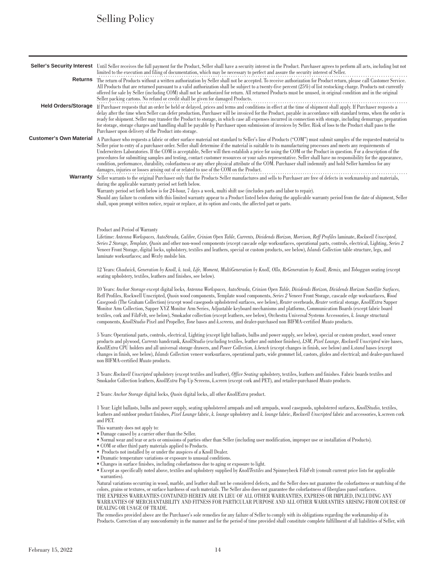# Selling Policy

|                                | Seller's Security Interest Until Seller receives the full payment for the Product, Seller shall have a security interest in the Product. Purchaser agrees to perform all acts, including but not<br>limited to the execution and filing of documentation, which may be necessary to perfect and assure the security interest of Seller.                                                                                                                                                                                                                                                                                                                                                                                                                                                                                                                                                                                        |
|--------------------------------|--------------------------------------------------------------------------------------------------------------------------------------------------------------------------------------------------------------------------------------------------------------------------------------------------------------------------------------------------------------------------------------------------------------------------------------------------------------------------------------------------------------------------------------------------------------------------------------------------------------------------------------------------------------------------------------------------------------------------------------------------------------------------------------------------------------------------------------------------------------------------------------------------------------------------------|
|                                | Returns The return of Products without a written authorization by Seller shall not be accepted. To receive authorization for Product return, please call Customer Service.<br>All Products that are returned pursuant to a valid authorization shall be subject to a twenty-five percent (25%) of list restocking charge. Products not currently<br>offered for sale by Seller (including COM) shall not be authorized for return. All returned Products must be unused, in original condition and in the original<br>Seller packing cartons. No refund or credit shall be given for damaged Products.                                                                                                                                                                                                                                                                                                                         |
| <b>Held Orders/Storage</b>     | If Purchaser requests that an order be held or delayed, prices and terms and conditions in effect at the time of shipment shall apply. If Purchaser requests a<br>delay after the time when Seller can defer production, Purchaser will be invoiced for the Product, payable in accordance with standard terms, when the order is<br>ready for shipment. Seller may transfer the Product to storage, in which case all expenses incurred in connection with storage, including demurrage, preparation<br>for storage, storage charges and handling shall be payable by Purchaser upon submission of invoices by Seller. Risk of loss to the Product shall pass to the<br>Purchaser upon delivery of the Product into storage.                                                                                                                                                                                                  |
| <b>Customer's Own Material</b> | A Purchaser who requests a fabric or other surface material not standard to Seller's line of Products ("COM") must submit samples of the requested material to<br>Seller prior to entry of a purchaser order. Seller shall determine if the material is suitable to its manufacturing processes and meets any requirements of<br>Underwriters Laboratories. If the COM is acceptable, Seller will then establish a price for using the COM or the Product in question. For a description of the<br>procedures for submitting samples and testing, contact customer resources or your sales representative. Seller shall have no responsibility for the appearance,<br>condition, performance, durability, colorfastness or any other physical attribute of the COM. Purchaser shall indemnify and hold Seller harmless for any<br>damages, injuries or losses arising out of or related to use of the COM on the Product.      |
| Warranty                       | Seller warrants to the original Purchaser only that the Products Seller manufactures and sells to Purchaser are free of defects in workmanship and materials,<br>during the applicable warranty period set forth below.<br>Warranty period set forth below is for 24-hour, 7 days a week, multi shift use (includes parts and labor to repair).<br>Should any failure to conform with this limited warranty appear to a Product listed below during the applicable warranty period from the date of shipment, Seller<br>shall, upon prompt written notice, repair or replace, at its option and costs, the affected part or parts.                                                                                                                                                                                                                                                                                             |
|                                |                                                                                                                                                                                                                                                                                                                                                                                                                                                                                                                                                                                                                                                                                                                                                                                                                                                                                                                                |
|                                | Product and Period of Warranty<br>Lifetime: Antenna Workspaces, AutoStrada, Calibre, Crinion Open Table, Currents, Dividends Horizon, Morrison, Reff Profiles laminate, Rockwell Unscripted,<br>Series 2 Storage, Template, Quoin and other non-wood components (except cascade edge worksurfaces, operational parts, controls, electrical, Lighting, Series 2<br>Veneer Front Storage, digital locks, upholstery, textiles and leathers, special or custom products, see below), Islands Collection table structure, legs, and<br>laminate worksurfaces; and Wexby mobile bin.                                                                                                                                                                                                                                                                                                                                                |
|                                | 12 Years: Chadwick, Generation by Knoll, k. task, Life, Moment, MultiGeneration by Knoll, Ollo, ReGeneration by Knoll, Remix, and Toboggan seating (except<br>seating upholstery, textiles, leathers and finishes, see below).                                                                                                                                                                                                                                                                                                                                                                                                                                                                                                                                                                                                                                                                                                 |
|                                | 10 Years: Anchor Storage except digital locks, Antenna Workspaces, AutoStrada, Crinion Open Table, Dividends Horizon, Dividends Horizon Satellite Surfaces,<br>Reff Profiles, Rockwell Unscripted, Quoin wood components, Template wood components, Series 2 Veneer Front Storage, cascade edge worksurfaces, Wood<br>Casegoods (The Graham Collection) (except wood casegoods upholstered surfaces, see below), Reuter overheads, Reuter vertical storage, KnollExtra Sapper<br>Monitor Arm Collection, Sapper XYZ Monitor Arm Series, Adjustable keyboard mechanisms and platforms, Communication Boards (except fabric board<br>textiles, cork and FilzFelt, see below), Smokador collection (except leathers, see below), Orchestra Universal Systems Accessories, k. lounge structural<br>components, KnollStudio Pixel and Propeller, Tone bases and k.screens, and dealer-purchased non BIFMA-certified Muuto products. |
|                                | 5 Years: Operational parts, controls, electrical, Lighting (except light ballasts, bulbs and power supply, see below), special or custom product, wood veneer<br>products and plywood, Currents handcrank, KnollStudio (excluding textiles, leather and outdoor finishes), LSM, Pixel Lounge, Rockwell Unscripted wire bases,<br>KnollExtra CPU holders and all universal storage drawers, and Power Collection, k.bench (except changes in finish, see below) and k.stand bases (except<br>changes in finish, see below), Islands Collection veneer worksurfaces, operational parts, wide grommet lid, castors, glides and electrical; and dealer-purchased<br>non BIFMA-certified Muuto products.                                                                                                                                                                                                                            |
|                                | 3 Years: Rockwell Unscripted upholstery (except textiles and leather), Office Seating upholstery, textiles, leathers and finishes. Fabric boards textiles and<br>Smokador Collection leathers, KnollExtra Pop Up Screens, k.screen (except cork and PET), and retailer-purchased Muuto products.                                                                                                                                                                                                                                                                                                                                                                                                                                                                                                                                                                                                                               |
|                                | 2 Years: Anchor Storage digital locks, Quoin digital locks, all other KnollExtra product.                                                                                                                                                                                                                                                                                                                                                                                                                                                                                                                                                                                                                                                                                                                                                                                                                                      |
|                                | 1 Year: Light ballasts, bulbs and power supply, seating upholstered armpads and soft armpads, wood casegoods, upholstered surfaces, KnollStudio, textiles,<br>leathers and outdoor product finishes, Pixel Lounge fabric, k. lounge upholstery and k. lounge fabric, Rockwell Unscripted fabric and accessories, k.screen cork<br>and PET.                                                                                                                                                                                                                                                                                                                                                                                                                                                                                                                                                                                     |
|                                | This warranty does not apply to:<br>• Damage caused by a carrier other than the Seller.<br>• Normal wear and tear or acts or omissions of parties other than Seller (including user modification, improper use or installation of Products).<br>• COM or other third party materials applied to Products.<br>• Products not installed by or under the auspices of a Knoll Dealer.<br>• Dramatic temperature variations or exposure to unusual conditions.<br>• Changes in surface finishes, including colorfastness due to aging or exposure to light.<br>• Except as specifically noted above, textiles and upholstery supplied by KnollTextiles and Spinneybeck FilzFelt (consult current price lists for applicable<br>warranties).                                                                                                                                                                                         |
|                                | Natural variations occurring in wood, marble, and leather shall not be considered defects, and the Seller does not guarantee the colorfastness or matching of the<br>colors, grains or textures, or surface hardness of such materials. The Seller also does not guarantee the colorfastness of fiberglass panel surfaces.<br>THE EXPRESS WARRANTIES CONTAINED HEREIN ARE IN LIEU OF ALL OTHER WARRANTIES, EXPRESS OR IMPLIED, INCLUDING ANY<br>WARRANTIES OF MERCHANTABILITY AND FITNESS FOR PARTICULAR PURPOSE AND ALL OTHER WARRANTIES ARISING FROM COURSE OF<br>DEALING OR USAGE OF TRADE.<br>The remadice previded chara are the Durchesor's solo remadice for any foilure of Sellor to comply with its obligations regarding the workmanship of its                                                                                                                                                                      |

The remedies provided above are the Purchaser's sole remedies for any failure of Seller to comply with its obligations regarding the workmanship of its Products. Correction of any nonconformity in the manner and for the period of time provided shall constitute complete fulfillment of all liabilities of Seller, with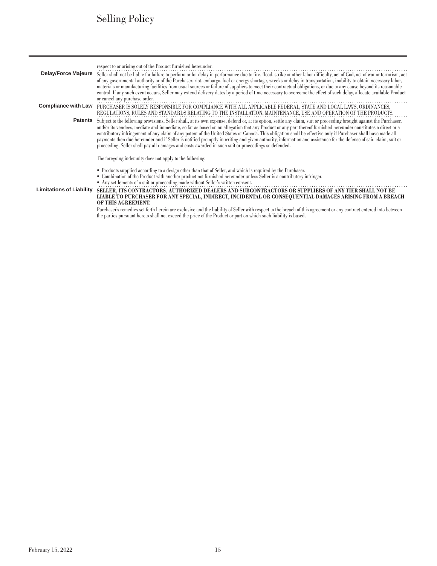# Selling Policy

| <b>Delay/Force Majeure</b>      | respect to or arising out of the Product furnished hereunder.<br>Seller shall not be liable for failure to perform or for delay in performance due to fire, flood, strike or other labor difficulty, act of God, act of war or terrorism, act<br>of any governmental authority or of the Purchaser, riot, embargo, fuel or energy shortage, wrecks or delay in transportation, inability to obtain necessary labor,<br>materials or manufacturing facilities from usual sources or failure of suppliers to meet their contractual obligations, or due to any cause beyond its reasonable<br>control. If any such event occurs, Seller may extend delivery dates by a period of time necessary to overcome the effect of such delay, allocate available Product<br>or cancel any purchase order.                                                            |
|---------------------------------|------------------------------------------------------------------------------------------------------------------------------------------------------------------------------------------------------------------------------------------------------------------------------------------------------------------------------------------------------------------------------------------------------------------------------------------------------------------------------------------------------------------------------------------------------------------------------------------------------------------------------------------------------------------------------------------------------------------------------------------------------------------------------------------------------------------------------------------------------------|
| <b>Compliance with Law</b>      | PURCHASER IS SOLELY RESPONSIBLE FOR COMPLIANCE WITH ALL APPLICABLE FEDERAL, STATE AND LOCAL LAWS, ORDINANCES,<br>REGULATIONS, RULES AND STANDARDS RELATING TO THE INSTALLATION, MAINTENANCE, USE AND OPERATION OF THE PRODUCTS.                                                                                                                                                                                                                                                                                                                                                                                                                                                                                                                                                                                                                            |
| Patents                         | Subject to the following provisions, Seller shall, at its own expense, defend or, at its option, settle any claim, suit or proceeding brought against the Purchaser,<br>and/or its vendees, mediate and immediate, so far as based on an allegation that any Product or any part thereof furnished hereunder constitutes a direct or a<br>contributory infringement of any claim of any patent of the United States or Canada. This obligation shall be effective only if Purchaser shall have made all<br>payments then due hereunder and if Seller is notified promptly in writing and given authority, information and assistance for the defense of said claim, suit or<br>proceeding. Seller shall pay all damages and costs awarded in such suit or proceedings so defended.<br>The foregoing indemnity does not apply to the following:             |
| <b>Limitations of Liability</b> | • Products supplied according to a design other than that of Seller, and which is required by the Purchaser.<br>• Combination of the Product with another product not furnished hereunder unless Seller is a contributory infringer.<br>• Any settlements of a suit or proceeding made without Seller's written consent.<br>SELLER, ITS CONTRACTORS, AUTHORIZED DEALERS AND SUBCONTRACTORS OR SUPPLIERS OF ANY TIER SHALL NOT BE<br>LIABLE TO PURCHASER FOR ANY SPECIAL, INDIRECT, INCIDENTAL OR CONSEQUENTIAL DAMAGES ARISING FROM A BREACH<br>OF THIS AGREEMENT.<br>Purchaser's remedies set forth herein are exclusive and the liability of Seller with respect to the breach of this agreement or any contract entered into between<br>the parties pursuant hereto shall not exceed the price of the Product or part on which such liability is based. |